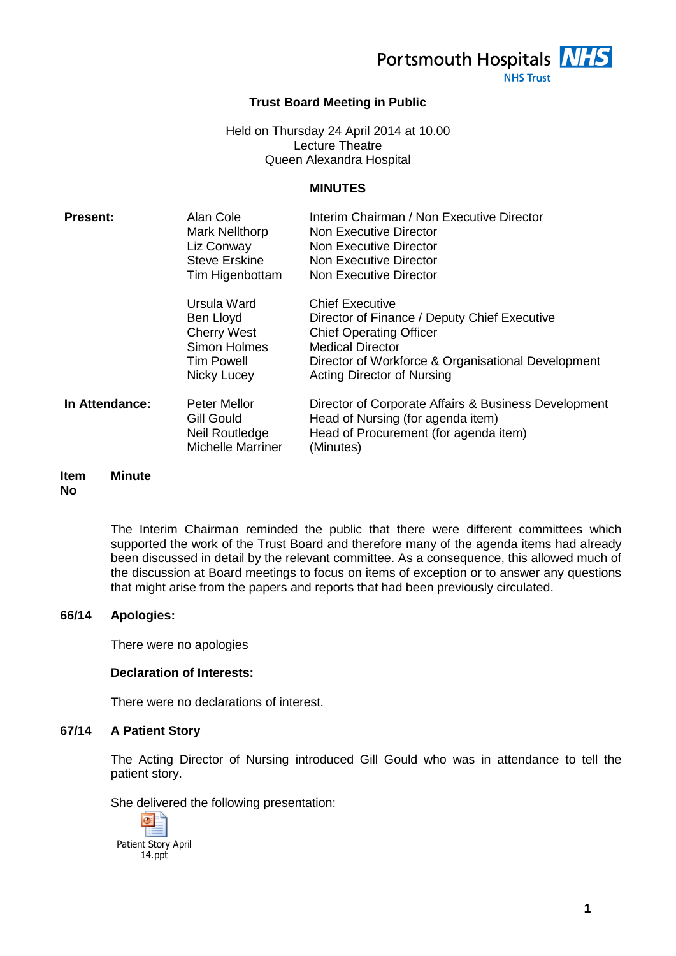Portsmouth Hospitals **NHS** 

**NHS Trust** 

# **Trust Board Meeting in Public**

#### Held on Thursday 24 April 2014 at 10.00 Lecture Theatre Queen Alexandra Hospital

#### **MINUTES**

| <b>Present:</b> | Alan Cole<br><b>Mark Nellthorp</b><br>Liz Conway<br><b>Steve Erskine</b><br>Tim Higenbottam        | Interim Chairman / Non Executive Director<br>Non Executive Director<br>Non Executive Director<br>Non Executive Director<br>Non Executive Director                                                                              |
|-----------------|----------------------------------------------------------------------------------------------------|--------------------------------------------------------------------------------------------------------------------------------------------------------------------------------------------------------------------------------|
|                 | Ursula Ward<br>Ben Lloyd<br><b>Cherry West</b><br>Simon Holmes<br><b>Tim Powell</b><br>Nicky Lucey | <b>Chief Executive</b><br>Director of Finance / Deputy Chief Executive<br><b>Chief Operating Officer</b><br><b>Medical Director</b><br>Director of Workforce & Organisational Development<br><b>Acting Director of Nursing</b> |
| In Attendance:  | <b>Peter Mellor</b><br><b>Gill Gould</b><br>Neil Routledge<br><b>Michelle Marriner</b>             | Director of Corporate Affairs & Business Development<br>Head of Nursing (for agenda item)<br>Head of Procurement (for agenda item)<br>(Minutes)                                                                                |

#### **Item No Minute**

The Interim Chairman reminded the public that there were different committees which supported the work of the Trust Board and therefore many of the agenda items had already been discussed in detail by the relevant committee. As a consequence, this allowed much of the discussion at Board meetings to focus on items of exception or to answer any questions that might arise from the papers and reports that had been previously circulated.

# **66/14 Apologies:**

There were no apologies

# **Declaration of Interests:**

There were no declarations of interest.

# **67/14 A Patient Story**

The Acting Director of Nursing introduced Gill Gould who was in attendance to tell the patient story.

She delivered the following presentation:

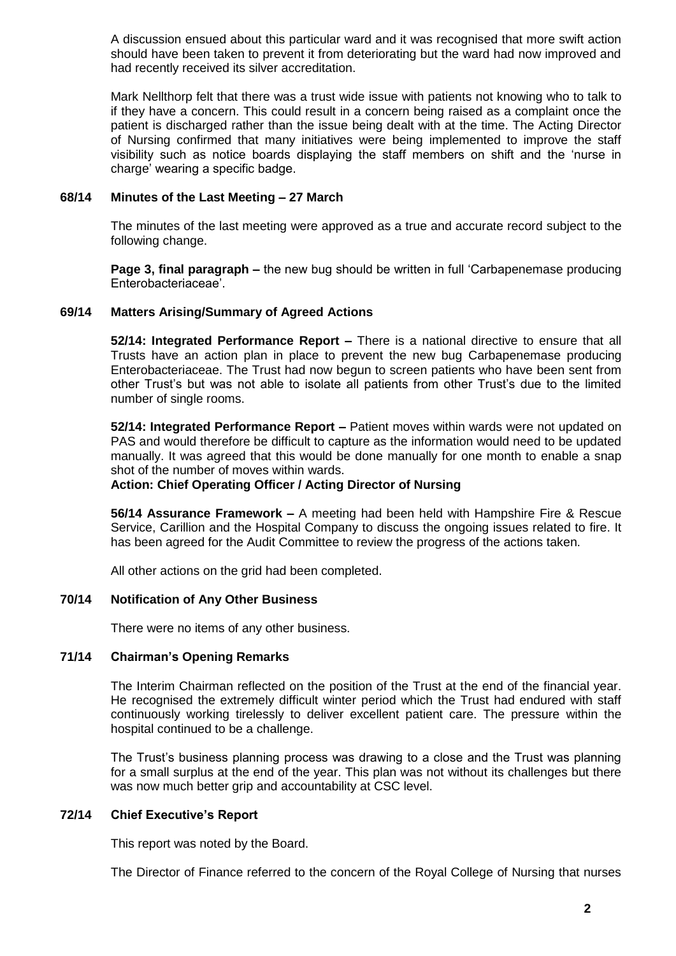A discussion ensued about this particular ward and it was recognised that more swift action should have been taken to prevent it from deteriorating but the ward had now improved and had recently received its silver accreditation.

Mark Nellthorp felt that there was a trust wide issue with patients not knowing who to talk to if they have a concern. This could result in a concern being raised as a complaint once the patient is discharged rather than the issue being dealt with at the time. The Acting Director of Nursing confirmed that many initiatives were being implemented to improve the staff visibility such as notice boards displaying the staff members on shift and the 'nurse in charge' wearing a specific badge.

#### **68/14 Minutes of the Last Meeting – 27 March**

The minutes of the last meeting were approved as a true and accurate record subject to the following change.

**Page 3, final paragraph –** the new bug should be written in full 'Carbapenemase producing Enterobacteriaceae'.

#### **69/14 Matters Arising/Summary of Agreed Actions**

**52/14: Integrated Performance Report –** There is a national directive to ensure that all Trusts have an action plan in place to prevent the new bug Carbapenemase producing Enterobacteriaceae. The Trust had now begun to screen patients who have been sent from other Trust's but was not able to isolate all patients from other Trust's due to the limited number of single rooms.

**52/14: Integrated Performance Report –** Patient moves within wards were not updated on PAS and would therefore be difficult to capture as the information would need to be updated manually. It was agreed that this would be done manually for one month to enable a snap shot of the number of moves within wards.

# **Action: Chief Operating Officer / Acting Director of Nursing**

**56/14 Assurance Framework –** A meeting had been held with Hampshire Fire & Rescue Service, Carillion and the Hospital Company to discuss the ongoing issues related to fire. It has been agreed for the Audit Committee to review the progress of the actions taken.

All other actions on the grid had been completed.

# **70/14 Notification of Any Other Business**

There were no items of any other business.

#### **71/14 Chairman's Opening Remarks**

The Interim Chairman reflected on the position of the Trust at the end of the financial year. He recognised the extremely difficult winter period which the Trust had endured with staff continuously working tirelessly to deliver excellent patient care. The pressure within the hospital continued to be a challenge.

The Trust's business planning process was drawing to a close and the Trust was planning for a small surplus at the end of the year. This plan was not without its challenges but there was now much better grip and accountability at CSC level.

# **72/14 Chief Executive's Report**

This report was noted by the Board.

The Director of Finance referred to the concern of the Royal College of Nursing that nurses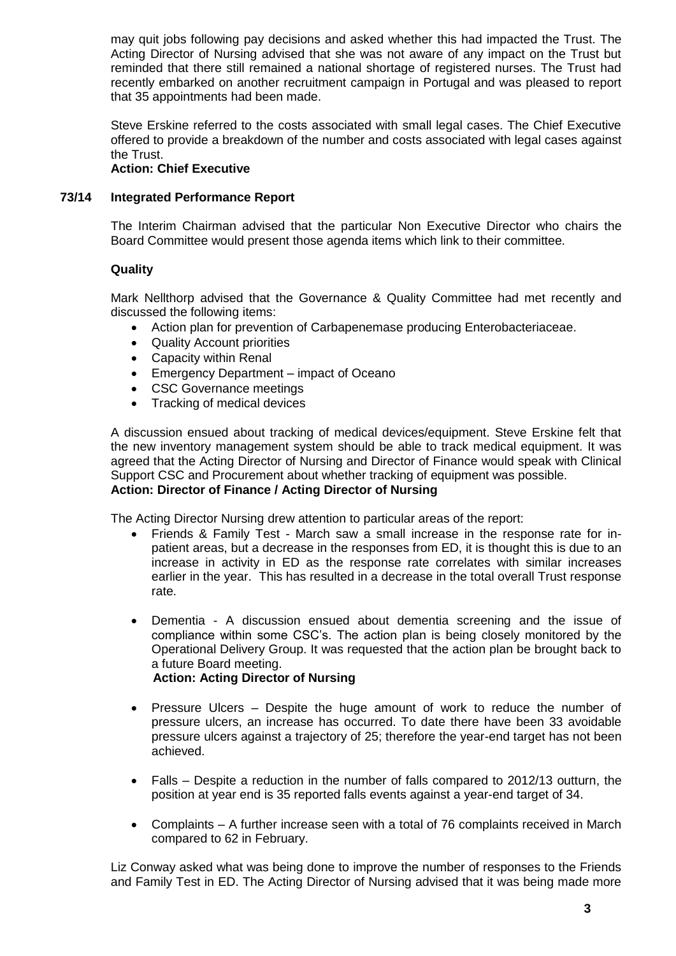may quit jobs following pay decisions and asked whether this had impacted the Trust. The Acting Director of Nursing advised that she was not aware of any impact on the Trust but reminded that there still remained a national shortage of registered nurses. The Trust had recently embarked on another recruitment campaign in Portugal and was pleased to report that 35 appointments had been made.

Steve Erskine referred to the costs associated with small legal cases. The Chief Executive offered to provide a breakdown of the number and costs associated with legal cases against the Trust.

# **Action: Chief Executive**

#### **73/14 Integrated Performance Report**

The Interim Chairman advised that the particular Non Executive Director who chairs the Board Committee would present those agenda items which link to their committee.

# **Quality**

Mark Nellthorp advised that the Governance & Quality Committee had met recently and discussed the following items:

- Action plan for prevention of Carbapenemase producing Enterobacteriaceae.
- Quality Account priorities
- Capacity within Renal
- Emergency Department impact of Oceano
- CSC Governance meetings
- Tracking of medical devices

A discussion ensued about tracking of medical devices/equipment. Steve Erskine felt that the new inventory management system should be able to track medical equipment. It was agreed that the Acting Director of Nursing and Director of Finance would speak with Clinical Support CSC and Procurement about whether tracking of equipment was possible. **Action: Director of Finance / Acting Director of Nursing**

The Acting Director Nursing drew attention to particular areas of the report:

- Friends & Family Test March saw a small increase in the response rate for inpatient areas, but a decrease in the responses from ED, it is thought this is due to an increase in activity in ED as the response rate correlates with similar increases earlier in the year. This has resulted in a decrease in the total overall Trust response rate.
- Dementia A discussion ensued about dementia screening and the issue of compliance within some CSC's. The action plan is being closely monitored by the Operational Delivery Group. It was requested that the action plan be brought back to a future Board meeting.

# **Action: Acting Director of Nursing**

- Pressure Ulcers Despite the huge amount of work to reduce the number of pressure ulcers, an increase has occurred. To date there have been 33 avoidable pressure ulcers against a trajectory of 25; therefore the year-end target has not been achieved.
- Falls Despite a reduction in the number of falls compared to 2012/13 outturn, the position at year end is 35 reported falls events against a year-end target of 34.
- Complaints A further increase seen with a total of 76 complaints received in March compared to 62 in February.

Liz Conway asked what was being done to improve the number of responses to the Friends and Family Test in ED. The Acting Director of Nursing advised that it was being made more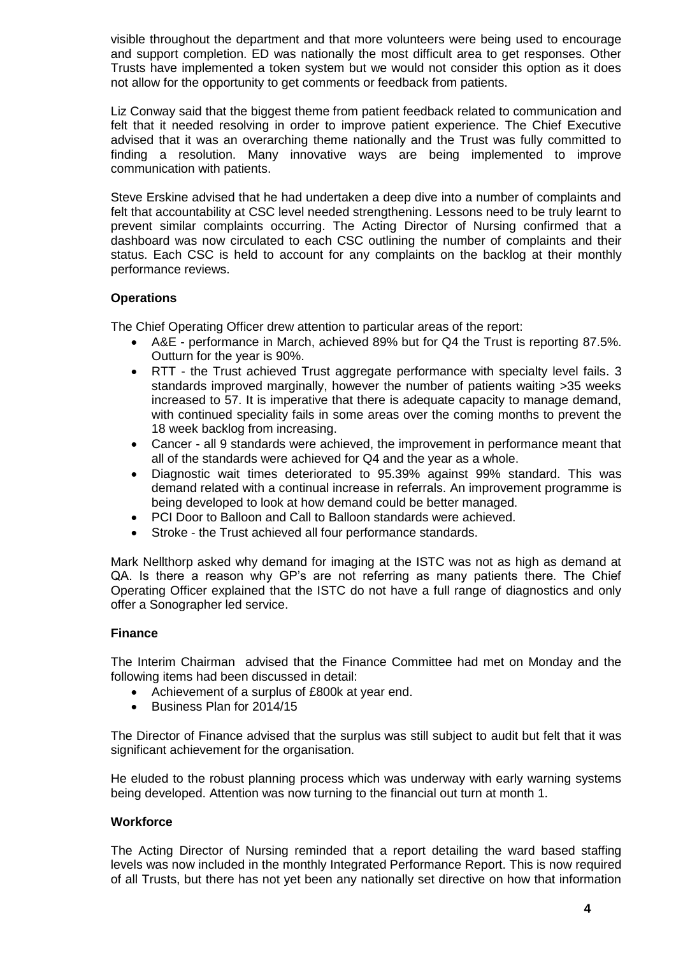visible throughout the department and that more volunteers were being used to encourage and support completion. ED was nationally the most difficult area to get responses. Other Trusts have implemented a token system but we would not consider this option as it does not allow for the opportunity to get comments or feedback from patients.

Liz Conway said that the biggest theme from patient feedback related to communication and felt that it needed resolving in order to improve patient experience. The Chief Executive advised that it was an overarching theme nationally and the Trust was fully committed to finding a resolution. Many innovative ways are being implemented to improve communication with patients.

Steve Erskine advised that he had undertaken a deep dive into a number of complaints and felt that accountability at CSC level needed strengthening. Lessons need to be truly learnt to prevent similar complaints occurring. The Acting Director of Nursing confirmed that a dashboard was now circulated to each CSC outlining the number of complaints and their status. Each CSC is held to account for any complaints on the backlog at their monthly performance reviews.

# **Operations**

The Chief Operating Officer drew attention to particular areas of the report:

- A&E performance in March, achieved 89% but for Q4 the Trust is reporting 87.5%. Outturn for the year is 90%.
- RTT the Trust achieved Trust aggregate performance with specialty level fails. 3 standards improved marginally, however the number of patients waiting >35 weeks increased to 57. It is imperative that there is adequate capacity to manage demand, with continued speciality fails in some areas over the coming months to prevent the 18 week backlog from increasing.
- Cancer all 9 standards were achieved, the improvement in performance meant that all of the standards were achieved for Q4 and the year as a whole.
- Diagnostic wait times deteriorated to 95.39% against 99% standard. This was demand related with a continual increase in referrals. An improvement programme is being developed to look at how demand could be better managed.
- PCI Door to Balloon and Call to Balloon standards were achieved.
- Stroke the Trust achieved all four performance standards.

Mark Nellthorp asked why demand for imaging at the ISTC was not as high as demand at QA. Is there a reason why GP's are not referring as many patients there. The Chief Operating Officer explained that the ISTC do not have a full range of diagnostics and only offer a Sonographer led service.

# **Finance**

The Interim Chairman advised that the Finance Committee had met on Monday and the following items had been discussed in detail:

- Achievement of a surplus of £800k at year end.
- Business Plan for 2014/15

The Director of Finance advised that the surplus was still subject to audit but felt that it was significant achievement for the organisation.

He eluded to the robust planning process which was underway with early warning systems being developed. Attention was now turning to the financial out turn at month 1.

#### **Workforce**

The Acting Director of Nursing reminded that a report detailing the ward based staffing levels was now included in the monthly Integrated Performance Report. This is now required of all Trusts, but there has not yet been any nationally set directive on how that information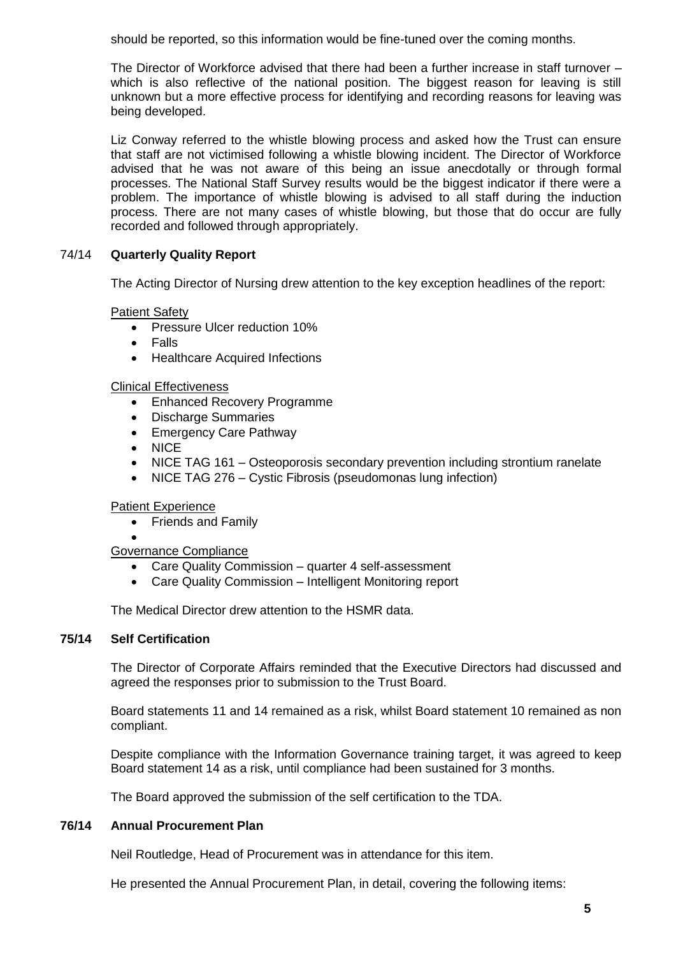should be reported, so this information would be fine-tuned over the coming months.

The Director of Workforce advised that there had been a further increase in staff turnover – which is also reflective of the national position. The biggest reason for leaving is still unknown but a more effective process for identifying and recording reasons for leaving was being developed.

Liz Conway referred to the whistle blowing process and asked how the Trust can ensure that staff are not victimised following a whistle blowing incident. The Director of Workforce advised that he was not aware of this being an issue anecdotally or through formal processes. The National Staff Survey results would be the biggest indicator if there were a problem. The importance of whistle blowing is advised to all staff during the induction process. There are not many cases of whistle blowing, but those that do occur are fully recorded and followed through appropriately.

# 74/14 **Quarterly Quality Report**

The Acting Director of Nursing drew attention to the key exception headlines of the report:

#### Patient Safety

- Pressure Ulcer reduction 10%
- Falls
- Healthcare Acquired Infections

#### Clinical Effectiveness

- Enhanced Recovery Programme
- Discharge Summaries
- Emergency Care Pathway
- NICE
- NICE TAG 161 Osteoporosis secondary prevention including strontium ranelate
- NICE TAG 276 Cystic Fibrosis (pseudomonas lung infection)

# Patient Experience

• Friends and Family

#### $\bullet$ Governance Compliance

- Care Quality Commission quarter 4 self-assessment
- Care Quality Commission Intelligent Monitoring report

The Medical Director drew attention to the HSMR data.

# **75/14 Self Certification**

The Director of Corporate Affairs reminded that the Executive Directors had discussed and agreed the responses prior to submission to the Trust Board.

Board statements 11 and 14 remained as a risk, whilst Board statement 10 remained as non compliant.

Despite compliance with the Information Governance training target, it was agreed to keep Board statement 14 as a risk, until compliance had been sustained for 3 months.

The Board approved the submission of the self certification to the TDA.

# **76/14 Annual Procurement Plan**

Neil Routledge, Head of Procurement was in attendance for this item.

He presented the Annual Procurement Plan, in detail, covering the following items: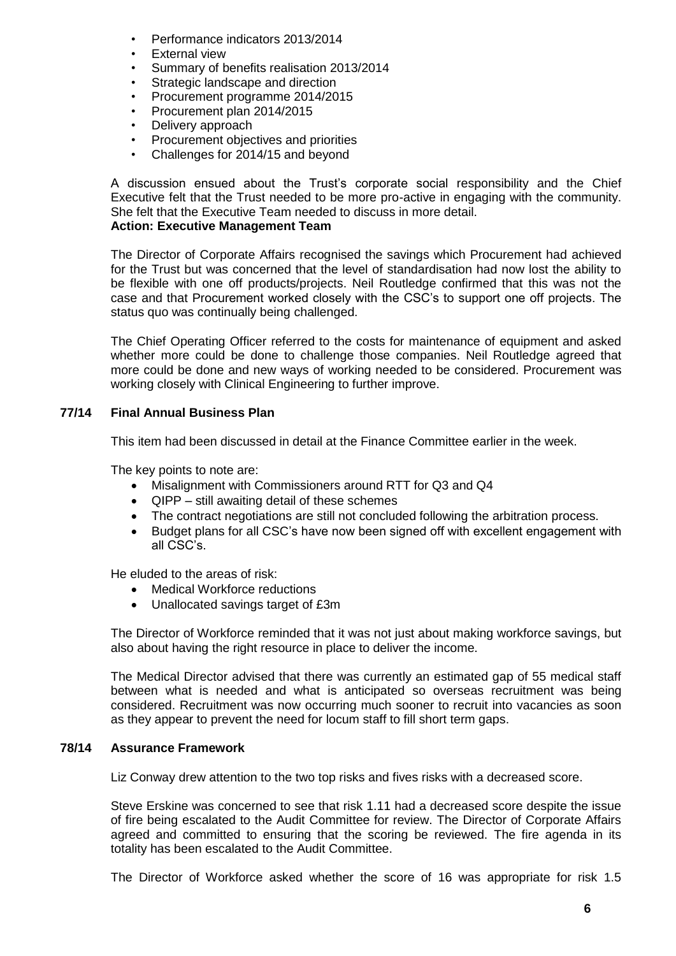- Performance indicators 2013/2014
- **External view**
- Summary of benefits realisation 2013/2014
- Strategic landscape and direction
- Procurement programme 2014/2015
- Procurement plan 2014/2015
- Delivery approach
- Procurement objectives and priorities
- Challenges for 2014/15 and beyond

A discussion ensued about the Trust's corporate social responsibility and the Chief Executive felt that the Trust needed to be more pro-active in engaging with the community. She felt that the Executive Team needed to discuss in more detail.

# **Action: Executive Management Team**

The Director of Corporate Affairs recognised the savings which Procurement had achieved for the Trust but was concerned that the level of standardisation had now lost the ability to be flexible with one off products/projects. Neil Routledge confirmed that this was not the case and that Procurement worked closely with the CSC's to support one off projects. The status quo was continually being challenged.

The Chief Operating Officer referred to the costs for maintenance of equipment and asked whether more could be done to challenge those companies. Neil Routledge agreed that more could be done and new ways of working needed to be considered. Procurement was working closely with Clinical Engineering to further improve.

# **77/14 Final Annual Business Plan**

This item had been discussed in detail at the Finance Committee earlier in the week.

The key points to note are:

- Misalignment with Commissioners around RTT for Q3 and Q4
- QIPP still awaiting detail of these schemes
- The contract negotiations are still not concluded following the arbitration process.
- Budget plans for all CSC's have now been signed off with excellent engagement with all CSC's.

He eluded to the areas of risk:

- Medical Workforce reductions
- Unallocated savings target of £3m

The Director of Workforce reminded that it was not just about making workforce savings, but also about having the right resource in place to deliver the income.

The Medical Director advised that there was currently an estimated gap of 55 medical staff between what is needed and what is anticipated so overseas recruitment was being considered. Recruitment was now occurring much sooner to recruit into vacancies as soon as they appear to prevent the need for locum staff to fill short term gaps.

# **78/14 Assurance Framework**

Liz Conway drew attention to the two top risks and fives risks with a decreased score.

Steve Erskine was concerned to see that risk 1.11 had a decreased score despite the issue of fire being escalated to the Audit Committee for review. The Director of Corporate Affairs agreed and committed to ensuring that the scoring be reviewed. The fire agenda in its totality has been escalated to the Audit Committee.

The Director of Workforce asked whether the score of 16 was appropriate for risk 1.5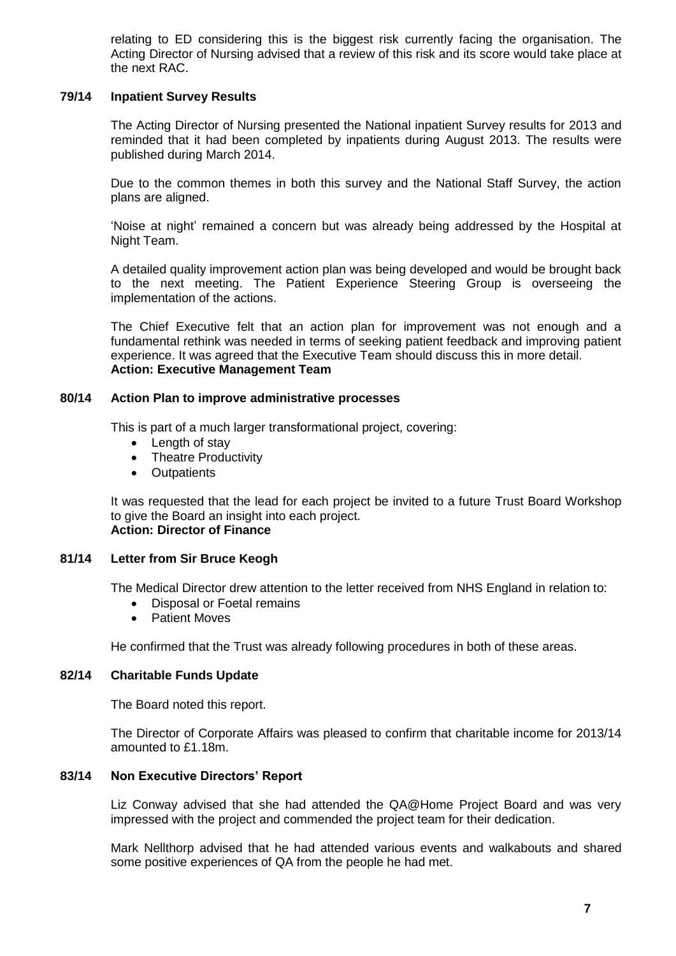relating to ED considering this is the biggest risk currently facing the organisation. The Acting Director of Nursing advised that a review of this risk and its score would take place at the next RAC.

# **79/14 Inpatient Survey Results**

The Acting Director of Nursing presented the National inpatient Survey results for 2013 and reminded that it had been completed by inpatients during August 2013. The results were published during March 2014.

Due to the common themes in both this survey and the National Staff Survey, the action plans are aligned.

'Noise at night' remained a concern but was already being addressed by the Hospital at Night Team.

A detailed quality improvement action plan was being developed and would be brought back to the next meeting. The Patient Experience Steering Group is overseeing the implementation of the actions.

The Chief Executive felt that an action plan for improvement was not enough and a fundamental rethink was needed in terms of seeking patient feedback and improving patient experience. It was agreed that the Executive Team should discuss this in more detail. **Action: Executive Management Team**

#### **80/14 Action Plan to improve administrative processes**

This is part of a much larger transformational project, covering:

- Length of stav
- Theatre Productivity
- Outpatients

It was requested that the lead for each project be invited to a future Trust Board Workshop to give the Board an insight into each project. **Action: Director of Finance**

# **81/14 Letter from Sir Bruce Keogh**

The Medical Director drew attention to the letter received from NHS England in relation to:

- Disposal or Foetal remains
- Patient Moves

He confirmed that the Trust was already following procedures in both of these areas.

#### **82/14 Charitable Funds Update**

The Board noted this report.

The Director of Corporate Affairs was pleased to confirm that charitable income for 2013/14 amounted to £1.18m.

# **83/14 Non Executive Directors' Report**

Liz Conway advised that she had attended the QA@Home Project Board and was very impressed with the project and commended the project team for their dedication.

Mark Nellthorp advised that he had attended various events and walkabouts and shared some positive experiences of QA from the people he had met.